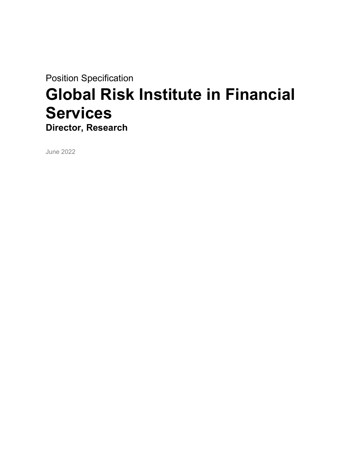Position Specification Global Risk Institute in Financial **Services** Director, Research

June 2022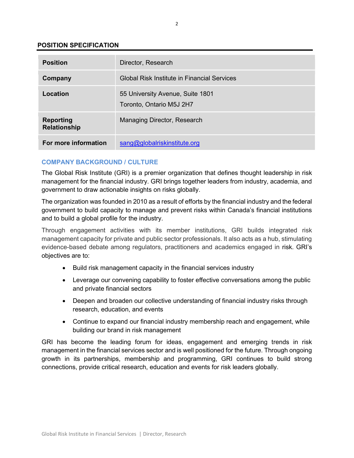## POSITION SPECIFICATION

| <b>Position</b>                         | Director, Research                                           |
|-----------------------------------------|--------------------------------------------------------------|
| Company                                 | Global Risk Institute in Financial Services                  |
| Location                                | 55 University Avenue, Suite 1801<br>Toronto, Ontario M5J 2H7 |
| <b>Reporting</b><br><b>Relationship</b> | Managing Director, Research                                  |
| For more information                    | sang@globalriskinstitute.org                                 |

# COMPANY BACKGROUND / CULTURE

The Global Risk Institute (GRI) is a premier organization that defines thought leadership in risk management for the financial industry. GRI brings together leaders from industry, academia, and government to draw actionable insights on risks globally.

The organization was founded in 2010 as a result of efforts by the financial industry and the federal government to build capacity to manage and prevent risks within Canada's financial institutions and to build a global profile for the industry.

Through engagement activities with its member institutions, GRI builds integrated risk management capacity for private and public sector professionals. It also acts as a hub, stimulating evidence-based debate among regulators, practitioners and academics engaged in risk. GRI's objectives are to:

- Build risk management capacity in the financial services industry
- Leverage our convening capability to foster effective conversations among the public and private financial sectors
- Deepen and broaden our collective understanding of financial industry risks through research, education, and events
- Continue to expand our financial industry membership reach and engagement, while building our brand in risk management

GRI has become the leading forum for ideas, engagement and emerging trends in risk management in the financial services sector and is well positioned for the future. Through ongoing growth in its partnerships, membership and programming, GRI continues to build strong connections, provide critical research, education and events for risk leaders globally.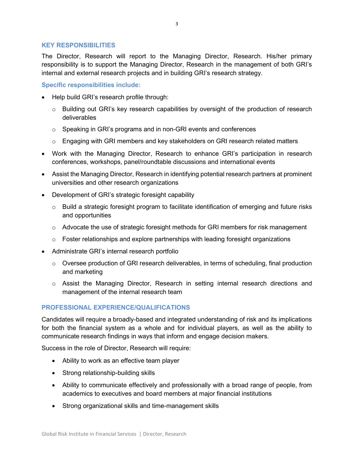### KEY RESPONSIBILITIES

The Director, Research will report to the Managing Director, Research. His/her primary responsibility is to support the Managing Director, Research in the management of both GRI's internal and external research projects and in building GRI's research strategy.

Specific responsibilities include:

- Help build GRI's research profile through:
	- $\circ$  Building out GRI's key research capabilities by oversight of the production of research deliverables
	- $\circ$  Speaking in GRI's programs and in non-GRI events and conferences
	- $\circ$  Engaging with GRI members and key stakeholders on GRI research related matters
- Work with the Managing Director, Research to enhance GRI's participation in research conferences, workshops, panel/roundtable discussions and international events
- Assist the Managing Director, Research in identifying potential research partners at prominent universities and other research organizations
- Development of GRI's strategic foresight capability
	- $\circ$  Build a strategic foresight program to facilitate identification of emerging and future risks and opportunities
	- $\circ$  Advocate the use of strategic foresight methods for GRI members for risk management
	- $\circ$  Foster relationships and explore partnerships with leading foresight organizations
- Administrate GRI's internal research portfolio
	- o Oversee production of GRI research deliverables, in terms of scheduling, final production and marketing
	- $\circ$  Assist the Managing Director, Research in setting internal research directions and management of the internal research team

## PROFESSIONAL EXPERIENCE/QUALIFICATIONS

Candidates will require a broadly-based and integrated understanding of risk and its implications for both the financial system as a whole and for individual players, as well as the ability to communicate research findings in ways that inform and engage decision makers.

Success in the role of Director, Research will require:

- Ability to work as an effective team player
- Strong relationship-building skills
- Ability to communicate effectively and professionally with a broad range of people, from academics to executives and board members at major financial institutions
- Strong organizational skills and time-management skills